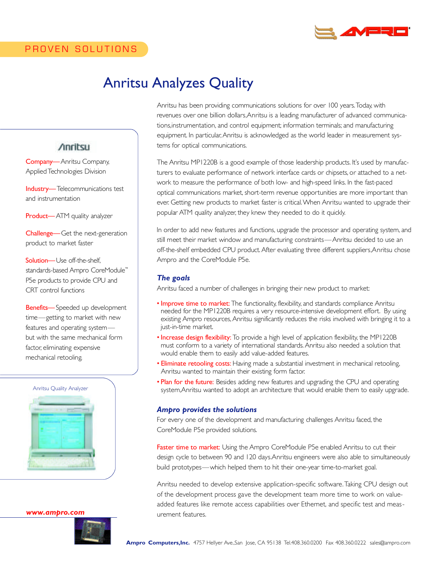

# Anritsu Analyzes Quality

# **Anritsu**

**Company**—Anritsu Company, Applied Technologies Division

Industry-Telecommunications test and instrumentation

Product-ATM quality analyzer

**Challenge**—Get the next-generation product to market faster

Solution-Use off-the-shelf. standards-based Ampro CoreModule™ P5e products to provide CPU and CRT control functions

Benefits-Speeded up development time-getting to market with new features and operating system but with the same mechanical form factor, eliminating expensive mechanical retooling.



*www.ampro.com*



Anritsu has been providing communications solutions for over 100 years. Today, with revenues over one billion dollars, Anritsu is a leading manufacturer of advanced communications,instrumentation, and control equipment; information terminals; and manufacturing equipment. In particular, Anritsu is acknowledged as the world leader in measurement systems for optical communications.

The Anritsu MP1220B is a good example of those leadership products. It's used by manufacturers to evaluate performance of network interface cards or chipsets, or attached to a network to measure the performance of both low- and high-speed links. In the fast-paced optical communications market, short-term revenue opportunities are more important than ever. Getting new products to market faster is critical. When Anritsu wanted to upgrade their popular ATM quality analyzer, they knew they needed to do it quickly.

In order to add new features and functions, upgrade the processor and operating system, and still meet their market window and manufacturing constraints—Anritsu decided to use an off-the-shelf embedded CPU product. After evaluating three different suppliers, Anritsu chose Ampro and the CoreModule P5e.

### *The goals*

Anritsu faced a number of challenges in bringing their new product to market:

- Improve time to market: The functionality, flexibility, and standards compliance Anritsu needed for the MP1220B requires a very resource-intensive development effort. By using existing Ampro resources, Anritsu significantly reduces the risks involved with bringing it to a just-in-time market.
- Increase design flexibility: To provide a high level of application flexibility, the MP1220B must conform to a variety of international standards. Anritsu also needed a solution that would enable them to easily add value-added features.
- Eliminate retooling costs: Having made a substantial investment in mechanical retooling, Anritsu wanted to maintain their existing form factor.
- Plan for the future: Besides adding new features and upgrading the CPU and operating system, An ritsu wanted to adopt an architecture that would enable them to easily upgrade.

#### *Ampro provides the solutions*

For every one of the development and manufacturing challenges Anritsu faced, the CoreModule P5e provided solutions.

Faster time to market: Using the Ampro CoreModule P5e enabled Anritsu to cut their design cycle to between 90 and 120 days. An ritsu engineers were also able to simultaneously build prototypes—which helped them to hit their one-year time-to-market goal.

Anritsu needed to develop extensive application-specific software.Taking CPU design out of the development process gave the development team more time to work on valueadded features like remote access capabilities over Ethernet, and specific test and measurement features.